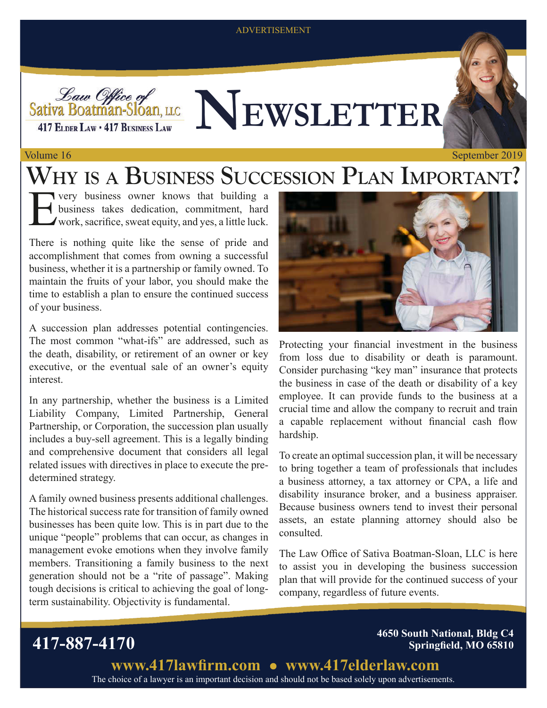### ADVERTISEMENT



### Volume 16 September 2019

## **WHY IS A BUSINESS SUCCESSION PLAN IMPORTANT?**

Very business owner knows that building a business takes dedication, commitment, hard work, sacrifice, sweat equity, and yes, a little luck. business takes dedication, commitment, hard work, sacrifice, sweat equity, and yes, a little luck.

There is nothing quite like the sense of pride and accomplishment that comes from owning a successful business, whether it is a partnership or family owned. To maintain the fruits of your labor, you should make the time to establish a plan to ensure the continued success of your business.

A succession plan addresses potential contingencies. The most common "what-ifs" are addressed, such as the death, disability, or retirement of an owner or key executive, or the eventual sale of an owner's equity interest.

In any partnership, whether the business is a Limited Liability Company, Limited Partnership, General Partnership, or Corporation, the succession plan usually includes a buy-sell agreement. This is a legally binding and comprehensive document that considers all legal related issues with directives in place to execute the predetermined strategy.

A family owned business presents additional challenges. The historical success rate for transition of family owned businesses has been quite low. This is in part due to the unique "people" problems that can occur, as changes in management evoke emotions when they involve family members. Transitioning a family business to the next generation should not be a "rite of passage". Making tough decisions is critical to achieving the goal of longterm sustainability. Objectivity is fundamental.



Protecting your financial investment in the business from loss due to disability or death is paramount. Consider purchasing "key man" insurance that protects the business in case of the death or disability of a key employee. It can provide funds to the business at a crucial time and allow the company to recruit and train a capable replacement without financial cash flow hardship.

To create an optimal succession plan, it will be necessary to bring together a team of professionals that includes a business attorney, a tax attorney or CPA, a life and disability insurance broker, and a business appraiser. Because business owners tend to invest their personal assets, an estate planning attorney should also be consulted.

The Law Office of Sativa Boatman-Sloan, LLC is here to assist you in developing the business succession plan that will provide for the continued success of your company, regardless of future events.

### **417-887-4170 Springfield, MO 65810**

**4650 South National, Bldg C4**

**<www.417lawfirm.com> <www.417elderlaw.com>** The choice of a lawyer is an important decision and should not be based solely upon advertisements.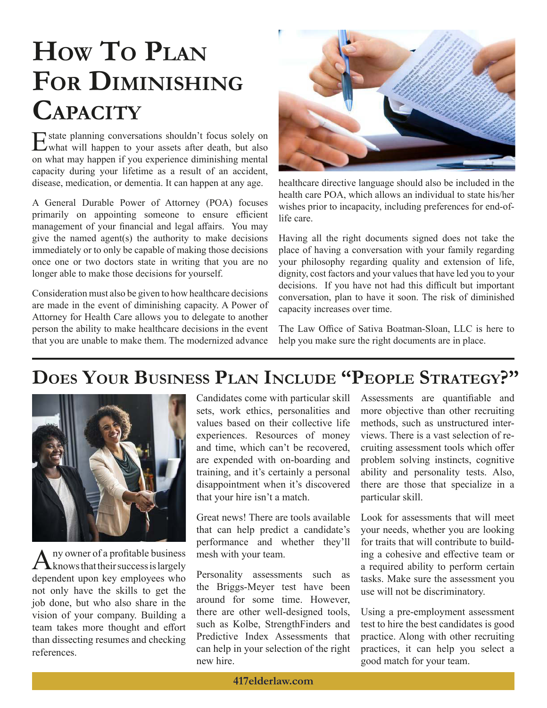# **HOW TO PLAN FOR DIMINISHING CAPACITY**

Estate planning conversations shouldn't focus solely on what will happen to your assets after death, but also on what may happen if you experience diminishing mental capacity during your lifetime as a result of an accident, disease, medication, or dementia. It can happen at any age.

A General Durable Power of Attorney (POA) focuses primarily on appointing someone to ensure efficient management of your financial and legal affairs. You may give the named agent(s) the authority to make decisions immediately or to only be capable of making those decisions once one or two doctors state in writing that you are no longer able to make those decisions for yourself.

Consideration must also be given to how healthcare decisions are made in the event of diminishing capacity. A Power of Attorney for Health Care allows you to delegate to another person the ability to make healthcare decisions in the event that you are unable to make them. The modernized advance



healthcare directive language should also be included in the health care POA, which allows an individual to state his/her wishes prior to incapacity, including preferences for end-oflife care.

Having all the right documents signed does not take the place of having a conversation with your family regarding your philosophy regarding quality and extension of life, dignity, cost factors and your values that have led you to your decisions. If you have not had this difficult but important conversation, plan to have it soon. The risk of diminished capacity increases over time.

The Law Office of Sativa Boatman-Sloan, LLC is here to help you make sure the right documents are in place.

## **DOES YOUR BUSINESS PLAN INCLUDE "PEOPLE STRATEGY?"**



A ny owner of a profitable business<br>
knows that their success is largely dependent upon key employees who not only have the skills to get the job done, but who also share in the vision of your company. Building a team takes more thought and effort than dissecting resumes and checking references.

Candidates come with particular skill sets, work ethics, personalities and values based on their collective life experiences. Resources of money and time, which can't be recovered, are expended with on-boarding and training, and it's certainly a personal disappointment when it's discovered that your hire isn't a match.

Great news! There are tools available that can help predict a candidate's performance and whether they'll mesh with your team.

Personality assessments such as the Briggs-Meyer test have been around for some time. However, there are other well-designed tools, such as Kolbe, StrengthFinders and Predictive Index Assessments that can help in your selection of the right new hire.

Assessments are quantifiable and more objective than other recruiting methods, such as unstructured interviews. There is a vast selection of recruiting assessment tools which offer problem solving instincts, cognitive ability and personality tests. Also, there are those that specialize in a particular skill.

Look for assessments that will meet your needs, whether you are looking for traits that will contribute to building a cohesive and effective team or a required ability to perform certain tasks. Make sure the assessment you use will not be discriminatory.

Using a pre-employment assessment test to hire the best candidates is good practice. Along with other recruiting practices, it can help you select a good match for your team.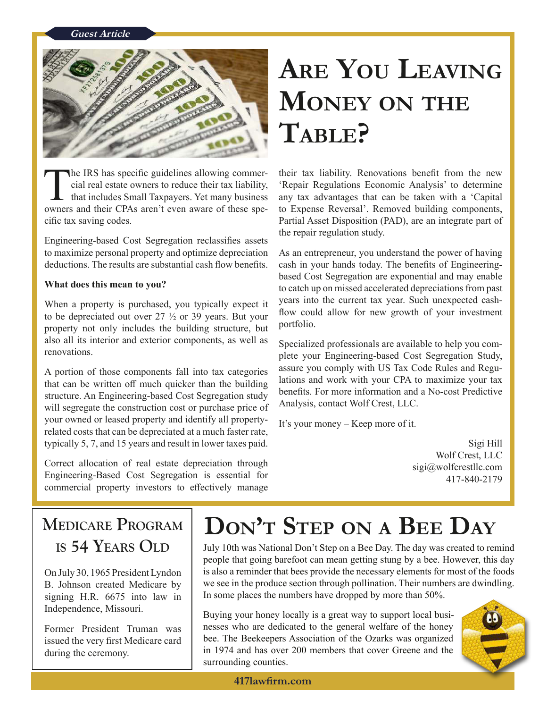### **Guest Article**



The IRS has specific guidelines allowing commer-<br>
cial real estate owners to reduce their tax liability, <br>
their commer-<br>
their tax liability, <br>
the specific specific specific specific specific specific specific specific s

the repair regulation study. Engineering-based Cost Segregation reclassifies assets to maximize personal property and optimize depreciation As an entrepreneur, you understand the power of having deductions. The results are substantial cash flow benefits. cash in your hands today. The benefits of Engineering-

to be depreciated out over  $27 \frac{1}{2}$  or 39 years. But your new could property not only includes the building structure, but portfolio. also all its interior and exterior components, as well as Specialized professionals are available to help you com-<br>plete your Engineering-based Cost Segregation Study,

A portion of those components fall into tax categories<br>that can be written off much quicker than the building<br>structure. An Engineering-based Cost Segregation study<br>will segregate the construction cost or purchase price of your owned or leased property and identify all property- It's your money – Keep more of it. related costs that can be depreciated at a much faster rate, typically 5, 7, and 15 years and result in lower taxes paid. Sigi Hill

Wolf Crest, LLC<br>
Correct allocation of real estate depreciation through sigi@wolfcrestllc.com<br>
Engineering-Based Cost Segregation is essential for 417-840-2179 commercial property investors to effectively manage

# **ARE YOU LEAVING MONEY ON THE TABLE?**

cial real estate owners to reduce their tax liability, 'Repair Regulations Economic Analysis' to determine that includes Small Taxpayers. Yet many business any tax advantages that can be taken with a 'Capital owners and their CPAs aren't even aware of these spe- to Expense Reversal'. Removed building components, cific tax saving codes. Partial Asset Disposition (PAD), are an integrate part of

**What does this mean to you?** based Cost Segregation are exponential and may enable to catch up on missed accelerated depreciations from past When a property is purchased, you typically expect it years into the current tax year. Such unexpected cash-<br>to be depreciated out over 27.1/2 or 30 years. But your, flow could allow for new growth of your investment

# **MEDICARE PROGRAM**  $\left|\n\begin{array}{c}\n\mathbf{DON}^T \mathbf{STEP} \mathbf{ON} \mathbf{A} \mathbf{BEE} \mathbf{DAY}\n\end{array}\n\right|$  Is 54 Years OLD

July 10th was National Don't Step on a Bee Day. The day was created to remind people that going barefoot can mean getting stung by a bee. However, this day On July 30, 1965 President Lyndon is also a reminder that bees provide the necessary elements for most of the foods B. Johnson created Medicare by we see in the produce section through pollination. Their numbers are dwindling. signing H.R.  $6675$  into law in I n some places the numbers have dropped by more than 50%.

Independence, Missouri. Buying your honey locally is a great way to support local busi-Former President Truman was nesses who are dedicated to the general welfare of the honey issued the very first Medicare card | bee. The Beekeepers Association of the Ozarks was organized during the ceremony. in 1974 and has over 200 members that cover Greene and the surrounding counties.